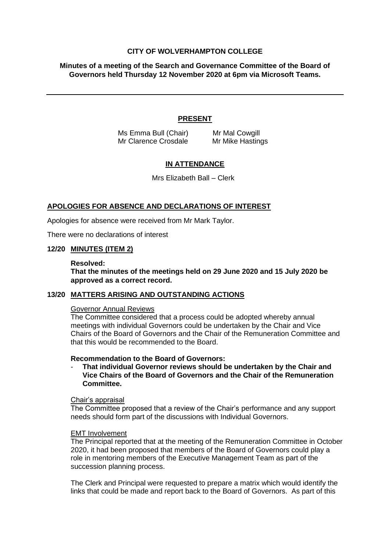# **CITY OF WOLVERHAMPTON COLLEGE**

**Minutes of a meeting of the Search and Governance Committee of the Board of Governors held Thursday 12 November 2020 at 6pm via Microsoft Teams.**

# **PRESENT**

Ms Emma Bull (Chair) Mr Mal Cowgill Mr Clarence Crosdale Mr Mike Hastings

# **IN ATTENDANCE**

Mrs Elizabeth Ball – Clerk

# **APOLOGIES FOR ABSENCE AND DECLARATIONS OF INTEREST**

Apologies for absence were received from Mr Mark Taylor.

There were no declarations of interest

### **12/20 MINUTES (ITEM 2)**

#### **Resolved:**

**That the minutes of the meetings held on 29 June 2020 and 15 July 2020 be approved as a correct record.**

#### **13/20 MATTERS ARISING AND OUTSTANDING ACTIONS**

### Governor Annual Reviews

The Committee considered that a process could be adopted whereby annual meetings with individual Governors could be undertaken by the Chair and Vice Chairs of the Board of Governors and the Chair of the Remuneration Committee and that this would be recommended to the Board.

### **Recommendation to the Board of Governors:**

- **That individual Governor reviews should be undertaken by the Chair and Vice Chairs of the Board of Governors and the Chair of the Remuneration Committee.**

# Chair's appraisal

The Committee proposed that a review of the Chair's performance and any support needs should form part of the discussions with Individual Governors.

#### EMT Involvement

The Principal reported that at the meeting of the Remuneration Committee in October 2020, it had been proposed that members of the Board of Governors could play a role in mentoring members of the Executive Management Team as part of the succession planning process.

The Clerk and Principal were requested to prepare a matrix which would identify the links that could be made and report back to the Board of Governors. As part of this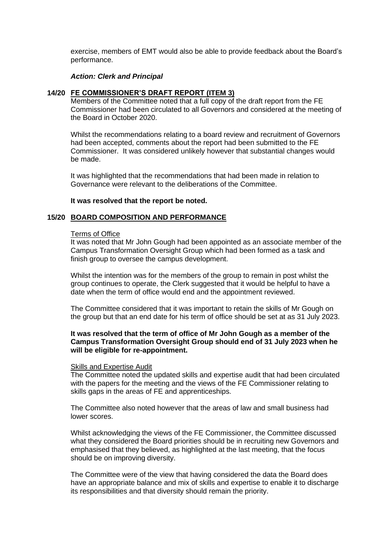exercise, members of EMT would also be able to provide feedback about the Board's performance.

## *Action: Clerk and Principal*

## **14/20 FE COMMISSIONER'S DRAFT REPORT (ITEM 3)**

Members of the Committee noted that a full copy of the draft report from the FE Commissioner had been circulated to all Governors and considered at the meeting of the Board in October 2020.

Whilst the recommendations relating to a board review and recruitment of Governors had been accepted, comments about the report had been submitted to the FE Commissioner. It was considered unlikely however that substantial changes would be made.

It was highlighted that the recommendations that had been made in relation to Governance were relevant to the deliberations of the Committee.

### **It was resolved that the report be noted.**

### **15/20 BOARD COMPOSITION AND PERFORMANCE**

#### Terms of Office

It was noted that Mr John Gough had been appointed as an associate member of the Campus Transformation Oversight Group which had been formed as a task and finish group to oversee the campus development.

Whilst the intention was for the members of the group to remain in post whilst the group continues to operate, the Clerk suggested that it would be helpful to have a date when the term of office would end and the appointment reviewed.

The Committee considered that it was important to retain the skills of Mr Gough on the group but that an end date for his term of office should be set at as 31 July 2023.

# **It was resolved that the term of office of Mr John Gough as a member of the Campus Transformation Oversight Group should end of 31 July 2023 when he will be eligible for re-appointment.**

#### Skills and Expertise Audit

The Committee noted the updated skills and expertise audit that had been circulated with the papers for the meeting and the views of the FE Commissioner relating to skills gaps in the areas of FE and apprenticeships.

The Committee also noted however that the areas of law and small business had lower scores.

Whilst acknowledging the views of the FE Commissioner, the Committee discussed what they considered the Board priorities should be in recruiting new Governors and emphasised that they believed, as highlighted at the last meeting, that the focus should be on improving diversity.

The Committee were of the view that having considered the data the Board does have an appropriate balance and mix of skills and expertise to enable it to discharge its responsibilities and that diversity should remain the priority.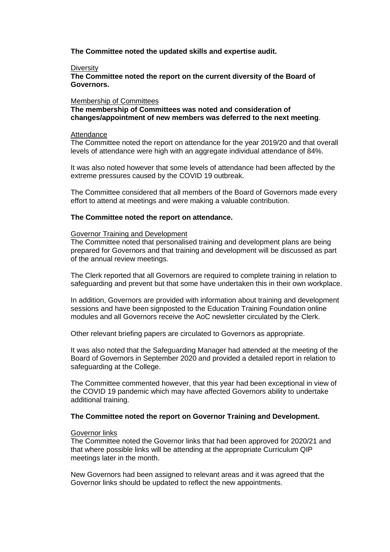**The Committee noted the updated skills and expertise audit.**

### **Diversity**

**The Committee noted the report on the current diversity of the Board of Governors.**

## Membership of Committees

**The membership of Committees was noted and consideration of changes/appointment of new members was deferred to the next meeting**.

### Attendance

The Committee noted the report on attendance for the year 2019/20 and that overall levels of attendance were high with an aggregate individual attendance of 84%.

It was also noted however that some levels of attendance had been affected by the extreme pressures caused by the COVID 19 outbreak.

The Committee considered that all members of the Board of Governors made every effort to attend at meetings and were making a valuable contribution.

## **The Committee noted the report on attendance.**

### Governor Training and Development

The Committee noted that personalised training and development plans are being prepared for Governors and that training and development will be discussed as part of the annual review meetings.

The Clerk reported that all Governors are required to complete training in relation to safeguarding and prevent but that some have undertaken this in their own workplace.

In addition, Governors are provided with information about training and development sessions and have been signposted to the Education Training Foundation online modules and all Governors receive the AoC newsletter circulated by the Clerk.

Other relevant briefing papers are circulated to Governors as appropriate.

It was also noted that the Safeguarding Manager had attended at the meeting of the Board of Governors in September 2020 and provided a detailed report in relation to safeguarding at the College.

The Committee commented however, that this year had been exceptional in view of the COVID 19 pandemic which may have affected Governors ability to undertake additional training.

## **The Committee noted the report on Governor Training and Development.**

#### Governor links

The Committee noted the Governor links that had been approved for 2020/21 and that where possible links will be attending at the appropriate Curriculum QIP meetings later in the month.

New Governors had been assigned to relevant areas and it was agreed that the Governor links should be updated to reflect the new appointments.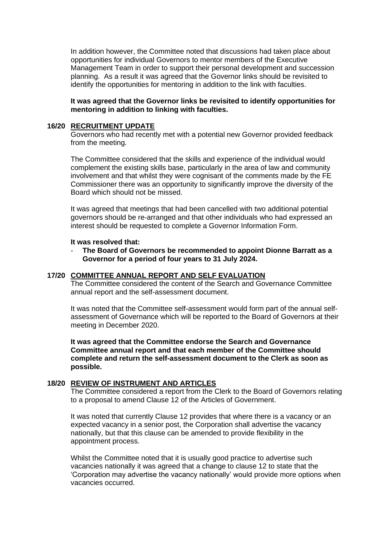In addition however, the Committee noted that discussions had taken place about opportunities for individual Governors to mentor members of the Executive Management Team in order to support their personal development and succession planning. As a result it was agreed that the Governor links should be revisited to identify the opportunities for mentoring in addition to the link with faculties.

**It was agreed that the Governor links be revisited to identify opportunities for mentoring in addition to linking with faculties.**

### **16/20 RECRUITMENT UPDATE**

Governors who had recently met with a potential new Governor provided feedback from the meeting.

The Committee considered that the skills and experience of the individual would complement the existing skills base, particularly in the area of law and community involvement and that whilst they were cognisant of the comments made by the FE Commissioner there was an opportunity to significantly improve the diversity of the Board which should not be missed.

It was agreed that meetings that had been cancelled with two additional potential governors should be re-arranged and that other individuals who had expressed an interest should be requested to complete a Governor Information Form.

## **It was resolved that:**

- **The Board of Governors be recommended to appoint Dionne Barratt as a Governor for a period of four years to 31 July 2024.**

### **17/20 COMMITTEE ANNUAL REPORT AND SELF EVALUATION**

The Committee considered the content of the Search and Governance Committee annual report and the self-assessment document.

It was noted that the Committee self-assessment would form part of the annual selfassessment of Governance which will be reported to the Board of Governors at their meeting in December 2020.

**It was agreed that the Committee endorse the Search and Governance Committee annual report and that each member of the Committee should complete and return the self-assessment document to the Clerk as soon as possible.**

# **18/20 REVIEW OF INSTRUMENT AND ARTICLES**

The Committee considered a report from the Clerk to the Board of Governors relating to a proposal to amend Clause 12 of the Articles of Government.

It was noted that currently Clause 12 provides that where there is a vacancy or an expected vacancy in a senior post, the Corporation shall advertise the vacancy nationally, but that this clause can be amended to provide flexibility in the appointment process.

Whilst the Committee noted that it is usually good practice to advertise such vacancies nationally it was agreed that a change to clause 12 to state that the 'Corporation may advertise the vacancy nationally' would provide more options when vacancies occurred.